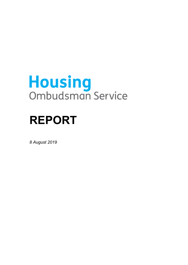# **Housing**<br>Ombudsman Service

# **REPORT**

*8 August 2019*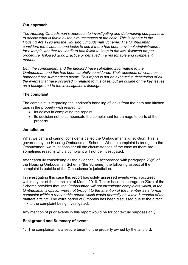## **Our approach**

 *to decide what is fair in all the circumstances of the case. This is set out in the for example whether the landlord has failed to keep to the law, followed proper The Housing Ombudsman's approach to investigating and determining complaints is Housing Act 1996 and the Housing Ombudsman Scheme. The Ombudsman considers the evidence and looks to see if there has been any 'maladministration', procedure, followed good practice or behaved in a reasonable and competent manner.* 

*Both the complainant and the landlord have submitted information to the Ombudsman and this has been carefully considered. Their accounts of what has happened are summarised below. This report is not an exhaustive description of all the events that have occurred in relation to this case, but an outline of the key issues as a background to the investigation's findings.* 

#### **The complaint**

The complaint is regarding the landlord's handling of leaks from the bath and kitchen taps in the property with respect to:

- $\bullet$  Its delays in completing the repairs
- Its decision not to compensate the complainant for damage to parts of the property.

#### **Jurisdiction**

What we can and cannot consider is called the Ombudsman's jurisdiction. This is governed by the Housing Ombudsman Scheme. When a complaint is brought to the Ombudsman, we must consider all the circumstances of the case as there are sometimes reasons why a complaint will not be investigated.

 the Housing Ombudsman Scheme (the Scheme), the following aspect of the After carefully considering all the evidence, in accordance with paragraph 23(e) of complaint is outside of the Ombudsman's jurisdiction.

 Scheme provides that '*the Ombudsman will not investigate complaints which, in the Ombudsman's opinion were not brought to the attention of the member as a formal matters arising'*. The extra period of 6 months has been discussed due to the direct In investigating this case this report has solely assessed events which occurred within a year of the complaint of March 2018. This is because paragraph 23(e) of the *complaint within a reasonable period which would normally be within 6 months of the*  link to the complaint being investigated.

Any mention of prior events in this report would be for contextual purposes only.

#### **Background and Summary of events**

1. The complainant is a secure tenant of the property owned by the landlord.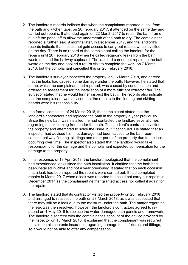- 2. The landlord's records indicate that when the complainant reported a leak from but left the panel off to allow the underneath of the bath to dry. The complainant reported a further leak, 9 months later, in December 2017, and the landlord's on the day. There is no record of the complainant calling the landlord for the waste on the day and booked a return visit to complete the work on 7 March the bath and kitchen taps, on 20 February 2017, it attended on the same day and carried out repairs. It attended again on 22 March 2017 to repair the bath frame records indicate that it could not gain access to carry out repairs when it visited repairs until 20 February 2018 when he called regarding leaks from the bath waste unit and the hallway cupboard. The landlord carried out repairs to the bath 2018, but the complainant cancelled this on 28 February 2018.
- 3. The landlord's surveyor inspected the property, on 16 March 2018, and agreed that the leaks had caused some damage under the bath. However, he stated that damp, which the complainant had reported, was caused by condensation and ordered an assessment for the installation of a more efficient extractor fan. The surveyor stated that he would further inspect the bath. The records also indicate that the complainant was advised that the repairs to the flooring and skirting boards were his responsibility.
- landlord's contractors had replaced the bath in the property a year previously. the property and attempted to solve the issue, but it continued. He stated that an cabinet, hallway flooring, skirtings and other parts of the property due to the leak occurring over time. The inspector also stated that the landlord would take damage to the property. 4. In a formal complaint, of 24 March 2018, the complainant stated that the Since the new bath was installed, he had contacted the landlord several times regarding a leak coming from under the bath. The landlord's contractors visited inspector had advised him that damage had been caused to the bathroom responsibility for the damage and the complainant expected compensation for the
- been installed in 2014 and not a year previously. It stated that on each occasion 5. In its response, of 18 April 2018, the landlord apologised that the complainant had experienced leaks since the bath installation. It clarified that the bath had that a leak had been reported the repairs were carried out. It had completed repairs in March 2017 when a leak was reported but could not carry out repairs in December 2017 as the complainant neither granted access nor called it again for the repairs.
- and arranged to reassess the bath on 28 March 2018, as it was suspected that 6. The landlord stated that its contractor visited the property on 20 February 2018 there may still be a leak due to the moisture under the bath. The matter regarding the leak was then resolved; however, the landlord's contractors agreed to reattend on 4 May 2018 to replace the water-damaged bath panels and framework. The landlord disagreed with the complainant's account of the advice provided by the inspector on 13 March 2018. It explained that the complainant was required to claim on his contents insurance regarding damage to his fixtures and fittings, so it would not be able to offer any compensation.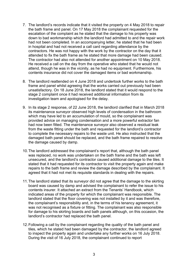- 7. The landlord's records indicate that it visited the property on 4 May 2018 to repair contents insurance did not cover the damaged items or bad workmanship. the bath frame and panel. On 17 May 2018 the complainant requested for the escalation of the complaint as he stated that the damage to his property was down to bad workmanship which the landlord had admitted to and the repair work had not been completed. In an accompanying letter, he stated that he had been in hospital and had not received a call card regarding attendance by the contractors. He was not happy with the work by the contractor on the day that it attended to fix the bath frame as he stated that more damage had been caused. The contractor had also not attended for another appointment on 10 May 2018. He received a call on the day from the operative who stated that he would not attend, though he was in the vicinity, as he had no equipment. Furthermore, his
- 8. The landlord reattended on 4 June 2018 and undertook further works to the bath frame and panel whilst agreeing that the works carried out previously had been unsatisfactory. On 18 June 2018, the landlord stated that it would respond to the stage 2 complaint once it had received additional information from its investigation team and apologised for the delay.
- provided advice on managing condensation and a more powerful extractor fan 9. In its stage 2 response, of 22 June 2018, the landlord clarified that in March 2018 its maintenance surveyor observed high levels of condensation in the bathroom which may have led to an accumulation of mould, so the complainant was had now been fitted. The maintenance surveyor also observed a residual leak from the waste fitting under the bath and requested for the landlord's contractor to complete the necessary repairs to the waste unit. He also instructed that the damaged bath panel should be replaced, and the bath frame repaired to resolve the damage caused by damp.
- 10.The landlord addressed the complainant's report that, although the bath panel repairs to the bath frame and review the damage described by the complainant. It agreed that it had not met its requisite standards in dealing with the repairs. was replaced, no work was undertaken on the bath frame and the bath was left unsecured, and the landlord's contractor caused additional damage to the tiles. It stated that it had requested for its contractor to visit the property again and make
- landlord stated that the floor covering was not installed by it and was therefore, the complainant's responsibility and, in the terms of his tenancy agreement, it 11.The landlord stated that its surveyor did not agree that the damage to the skirting board was caused by damp and advised the complainant to refer the issue to his contents insurer. It attached an extract from the Tenants' Handbook, which indicated areas of the property for which the complainant was responsible. The was not recognised as a fixture or fitting. The complainant was also responsible for damage to his skirting boards and bath panels although, on this occasion, the landlord's contractor had replaced the bath panel.
- 12.Following a call by the complainant regarding the quality of the bath panel and tiles, which he stated had been damaged by the contractor, the landlord agreed to inspect the property again and undertake any further works on 16 July 2018. During the visit of 16 July 2018, the complainant continued to report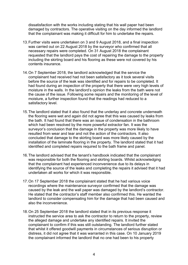dissatisfaction with the works including stating that his wall paper had been damaged by contractors. The operative visiting on the day informed the landlord that the complainant was making it difficult for him to undertake the repairs.

- requested that the landlord pays the cost of repairing the damage to the property 13.Further visits were undertaken on 3 and 9 August 2018, and a final inspection was carried out on 22 August 2018 by the surveyor who confirmed that all necessary repairs were completed. On 31 August 2018 the complainant including the skirting board and his flooring as these were not covered by his contents insurance.
- moisture, a further inspection found that the readings had reduced to a 14.On 7 September 2018, the landlord acknowledged that the service the complainant had received had not been satisfactory as it took several visits before the source of the leak was identified and for repairs to be completed. It had found during an inspection of the property that there were very high levels of moisture in the walls. In the landlord's opinion the leaks from the bath were not the cause of the issue. Following some repairs and the monitoring of the level of satisfactory level.
- 15.The landlord stated that it also found that the underlay and concrete underneath the flooring were wet and again did not agree that this was caused by leaks from the bath. It had found that there was an issue of condensation in the bathroom which had been resolved by the more powerful extractor fan. It was the surveyor's conclusion that the damage in the property was more likely to have resulted from wear and tear and not the action of the contractors. It also concluded that damage to the skirting board was more likely caused by the installation of the laminate flooring in the property. The landlord stated that it had identified and completed repairs required to the bath frame and panel.
- 16.The landlord advised that the tenant's handbook indicated that the complainant was responsible for both the flooring and skirting boards. Whilst acknowledging that the complainant had experienced inconvenience due to its delays in identifying the source of the leaks and completing the repairs it advised that it had undertaken all works for which it was responsible.
- caused by the leak and the wall paper was damaged by the landlord's contractor. also the inconvenience. 17.On 17 September 2018 the complainant stated that he had various voice recordings where the maintenance surveyor confirmed that the damage was He stated that the contractor's staff member also confirmed this. He wanted the landlord to consider compensating him for the damage that had been caused and
- the complainant informed the landlord that no one had been to his property 18.On 25 September 2018 the landlord stated that in its previous response it instructed the service area to ask the contractor to return to the property, review the alleged damage and undertake any identified repairs. It invited the complainant to confirm if this was still outstanding. The landlord further stated that whilst it offered goodwill payments in circumstances of serious disruption or distress, it did not agree that it was warranted in this case. On 10 January 2019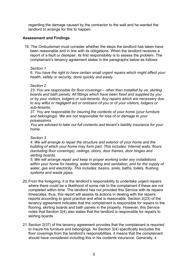regarding the damage caused by the contractor to the wall and he wanted the landlord to arrange for this to happen.

# **Assessment and Findings**

 19. The Ombudsman must consider whether the steps the landlord has taken have been reasonable and in line with its obligations. When the landlord receives a report of a fault or disrepair, its first responsibility is to assess the problem. The complainant's tenancy agreement states in the paragraphs below as follows:

#### *Section 1*

*6. You have the right to have certain small urgent repairs which might affect your health, safety or security, done quickly and easily.* 

#### *Section 2*

 *boards and bath panels; All fittings which have been fixed and supplied by you 23. You are responsible for floor coverings – other than installed by us; skirting or by your visitors, lodgers or sub-tenants. Any repairs which are necessary due to any wilful or negligent act or omission of you or of your visitors, lodgers or sub-tenants.* 

*37. You are responsible for insuring the contents of your home (your furniture and belongings). We are not responsible for loss of or damage to your possessions.* 

*You are advised to take out full contents and tenant's liability insurance for your home.* 

#### *Section 3*

*4. We will arrange to repair the structure and exterior of your home and the building of which your home may form part. This includes: Internal walls, floors (excluding floor coverings), ceilings, doors, door frames, door hinges and skirting boards.* 

*5. We will arrange repair and keep in proper working order any installations within your home for heating, water heating and sanitation; and for the supply of water, gas and electricity. This includes: basins, sinks, baths, toilets, flushing systems and waste pipes.* 

- where there could be a likelihood of some risk to the complainant if these are not timescales, thus, this report will assess its actions in dealing with the repairs tenancy agreement indicates that the complainant is responsible for repairs to the 20.From the foregoing, it is the landlord's responsibility to undertake urgent repairs completed within time. The landlord has not provided this Service with its repairs reports according to good practice and what is reasonable. Section 2(23) of the flooring, skirting boards and bath panels in the property. However, this Service notes that Section 3(4) also states that the landlord is responsible for repairs to skirting boards.
- 21.Section 2(37) of the tenancy agreement provides that the complainant is required to insure his furniture and belongings. As Section 3(4) specifically excludes the floor coverings from the landlord's responsibilities, it means that the complainant should have considered including this in his contents insurance. Generally, it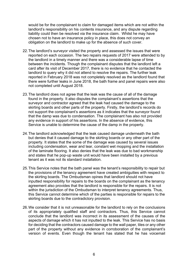would be for the complainant to claim for damaged items which are not within the liability could then be resolved via the insurance claim. Whilst he may have landlord's responsibility on his contents insurance, and any dispute regarding chosen not to have an insurance policy in place, this does not convey an obligation on the landlord to make up for the absence of such cover.

- the landlord in a timely manner and there was a considerable lapse of time between the incidents. Though the complainant disputes that the landlord left a 22.The landlord's surveyor visited the property and assessed the issues that were reported on each occasion. The two repairs requests of 2017 were attended to by card after its visit of December 2017, there is no evidence that he contacted the landlord to query why it did not attend to resolve the repairs. The further leak reported in February 2018 was not completely resolved as the landlord found that there were further leaks in June 2018, the bath frame and panel repairs were also not completed until August 2018.
- found in the property. It also disputes the complainant's assertions that the that the damp was due to condensation. The complainant has also not provided any evidence in support of his assertions. In the absence of evidence, this 23.The landlord does not agree that the leak was the cause of all of the damage surveyor and contractor agreed that the leak had caused the damage to the skirting boards and other parts of the property. Firstly, the landlord's records do not support the complainant's assertions as it indicates that the surveyor found Service is unable to determine the cause of the damp in the property.
- 24.The landlord acknowledged that the leak caused damage underneath the bath but denies that it caused damage to the skirting boards or any other part of the property. It states that the some of the damage was caused by several issues including condensation, wear and tear, constant wet mopping and the installation of the laminate flooring. It also denies that the leak was due to bad workmanship and states that he pop-up waste unit would have been installed by a previous tenant as it was not its standard installation.
- 25.This Service notes that the bath panel was the tenant's responsibility to repair but the provisions of the tenancy agreement have created ambiguities with respect to the skirting boards. The Ombudsman opines that landlord should not have inputted responsibility for repairs to the boards on the complainant as the tenancy agreement also provides that the landlord is responsible for the repairs. It is not within the jurisdiction of the Ombudsman to interpret tenancy agreements. Thus, this Service cannot determine which of the parties is responsible for repairs to the skirting boards due to the contradictory provision.
- 26.We consider that it is not unreasonable for the landlord to rely on the conclusions of its appropriately qualified staff and contractors. Thus, this Service cannot conclude that the landlord was incorrect in its assessment of the causes of the aspects of damage which it has not inputted to the leak. This Service has no basis for deciding that the contractors caused damage to the wall paper, tiles or any other part of the property without any evidence in corroboration of the complainant's version of events. Even though the tenant has stated that he has voicemail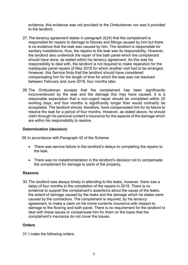evidence, this evidence was not provided to the Ombudsman nor was it provided to the landlord.

- responsible for repairs to damage to fixtures and fittings caused by him but there the landlord also undertook the repair of the bath panel which the complainant responsibility to deal with, the landlord is not required to make reparation for the inadequate panel repairs of May 2018 for which another visit had to be arranged. 27.The tenancy agreement states in paragraph 2(24) that the complainant is is no evidence that the leak was caused by him. The landlord is responsible for sanitary installations, thus, the repairs to the leak was its responsibility. However, should have done, as stated within his tenancy agreement. As this was his However, this Service finds that the landlord should have considered compensating him for the length of time for which the leak was not resolved between February and June 2018, four months later.
- reasonable expectation that a non-urgent repair should be completed within 20 resolve the leak for a period of four months. However, as stated above, he should 28.The Ombudsman accepts that the complainant has been significantly inconvenienced by the leak and the damage this may have caused. It is a working days, and four months is significantly longer than would ordinarily be acceptable. The landlord should, therefore, have compensated him for its failure to claim through his personal content's insurance for the aspects of the damage which are within his responsibility to resolve.

## **Determination (decision)**

29.In accordance with Paragraph 42 of the Scheme:

- There was service failure in the landlord's delays to completing the repairs to the leak.
- There was no maladministration in the landlord's decision not to compensate the complainant for damage to parts of the property.

#### **Reasons**

 30.The landlord was always timely in attending to the leaks, however, there was a delay of four months to the completion of the repairs in 2018. There is no the extent of damage caused by the leaks and the damage which he states were caused by the contractors. The complainant is required, by his tenancy agreement, to make a claim on his home contents insurance with respect to damage to the flooring and bath panel. There is no requirement for the landlord to evidence to support the complainant's assertions about the cause of the leaks; deal with these issues or compensate him for them on the basis that the complainant's insurance do not cover the issues.

#### **Orders**

31.I make the following orders: